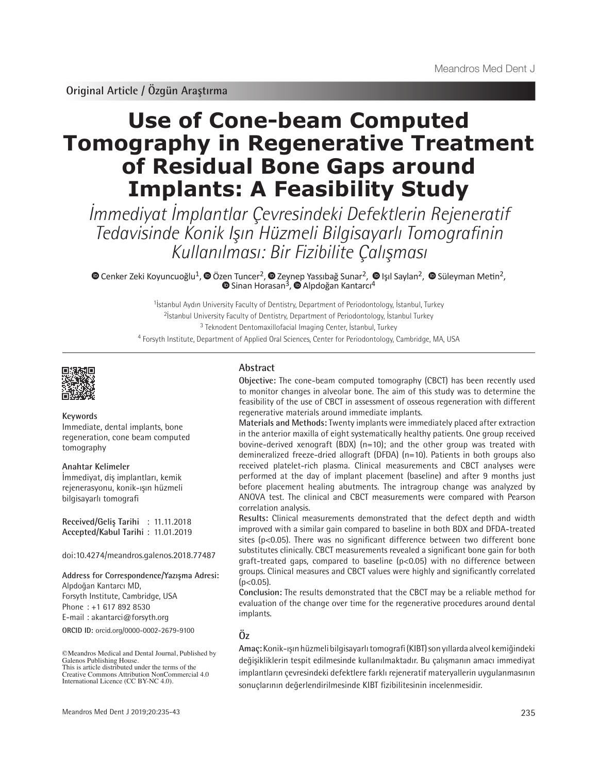**Original Article / Özgün Araştırma**

# **Use of Cone-beam Computed Tomography in Regenerative Treatment of Residual Bone Gaps around Implants: A Feasibility Study**

İmmediyat İmplantlar Çevresindeki Defektlerin Rejeneratif Tedavisinde Konik Işın Hüzmeli Bilgisayarlı Tomografinin Kullanılması: Bir Fizibilite Çalışması

CenkerZeki Koyuncuoğlu<sup>1</sup>, <sup>®</sup> Özen Tuncer<sup>2</sup>, <sup>®</sup> Zeynep Yassıbağ Sunar<sup>2</sup>, ® Işıl Saylan<sup>2</sup>, ® Süleyman Metin<sup>2</sup>, SinanHorasan<sup>3</sup>, @ Alpdoğan Kantarcı<sup>4</sup>

> <sup>1</sup> İstanbul Aydın University Faculty of Dentistry, Department of Periodontology, İstanbul, Turkey İstanbul University Faculty of Dentistry, Department of Periodontology, İstanbul Turkey Teknodent Dentomaxillofacial Imaging Center, İstanbul, Turkey Forsyth Institute, Department of Applied Oral Sciences, Center for Periodontology, Cambridge, MA, USA



#### **Keywords**

Immediate, dental implants, bone regeneration, cone beam computed tomography

**Anahtar Kelimeler** İmmediyat, diş implantları, kemik rejenerasyonu, konik-ışın hüzmeli bilgisayarlı tomografi

**Received/Geliş Tarihi** : 11.11.2018 **Accepted/Kabul Tarihi** : 11.01.2019

doi:10.4274/meandros.galenos.2018.77487

**Address for Correspondence/Yazışma Adresi:** Alpdoğan Kantarcı MD, Forsyth Institute, Cambridge, USA Phone : +1 617 892 8530 E-mail : akantarci@forsyth.org

**ORCID ID:** orcid.org/0000-0002-2679-9100

©Meandros Medical and Dental Journal, Published by Galenos Publishing House. This is article distributed under the terms of the

Creative Commons Attribution NonCommercial 4.0 International Licence (CC BY-NC 4.0).

# **Abstract**

**Objective:** The cone-beam computed tomography (CBCT) has been recently used to monitor changes in alveolar bone. The aim of this study was to determine the feasibility of the use of CBCT in assessment of osseous regeneration with different regenerative materials around immediate implants.

**Materials and Methods:** Twenty implants were immediately placed after extraction in the anterior maxilla of eight systematically healthy patients. One group received bovine-derived xenograft (BDX) ( $n=10$ ); and the other group was treated with demineralized freeze-dried allograft (DFDA) (n=10). Patients in both groups also received platelet-rich plasma. Clinical measurements and CBCT analyses were performed at the day of implant placement (baseline) and after 9 months just before placement healing abutments. The intragroup change was analyzed by ANOVA test. The clinical and CBCT measurements were compared with Pearson correlation analysis.

**Results:** Clinical measurements demonstrated that the defect depth and width improved with a similar gain compared to baseline in both BDX and DFDA-treated sites (p<0.05). There was no significant difference between two different bone substitutes clinically. CBCT measurements revealed a significant bone gain for both graft-treated gaps, compared to baseline (p<0.05) with no difference between groups. Clinical measures and CBCT values were highly and significantly correlated  $(p<0.05)$ .

**Conclusion:** The results demonstrated that the CBCT may be a reliable method for evaluation of the change over time for the regenerative procedures around dental implants.

# **Öz**

**Amaç:** Konik-ışın hüzmeli bilgisayarlı tomografi (KIBT) son yıllarda alveol kemiğindeki değişikliklerin tespit edilmesinde kullanılmaktadır. Bu çalışmanın amacı immediyat implantların çevresindeki defektlere farklı rejeneratif materyallerin uygulanmasının sonuçlarının değerlendirilmesinde KIBT fizibilitesinin incelenmesidir.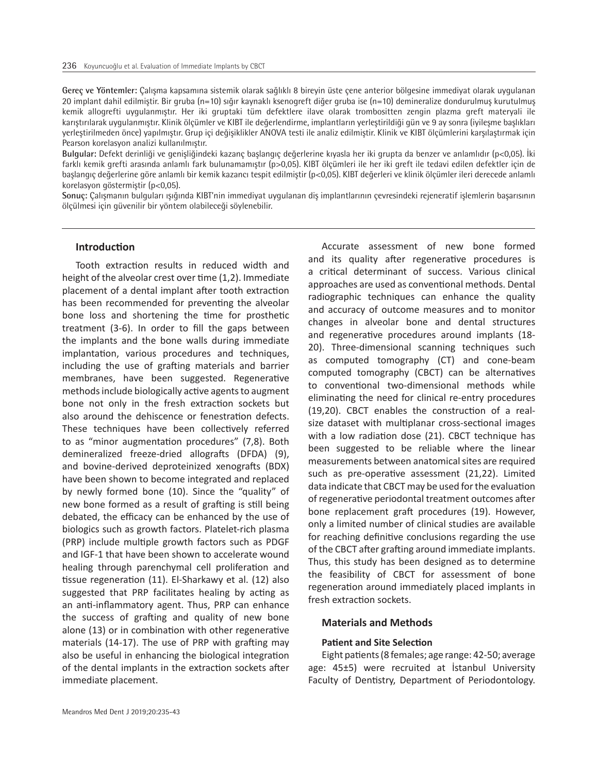**Gereç ve Yöntemler:** Çalışma kapsamına sistemik olarak sağlıklı 8 bireyin üste çene anterior bölgesine immediyat olarak uygulanan 20 implant dahil edilmiştir. Bir gruba (n=10) sığır kaynaklı ksenogreft diğer gruba ise (n=10) demineralize dondurulmuş kurutulmuş kemik allogrefti uygulanmıştır. Her iki gruptaki tüm defektlere ilave olarak trombositten zengin plazma greft materyali ile karıştırılarak uygulanmıştır. Klinik ölçümler ve KIBT ile değerlendirme, implantların yerleştirildiği gün ve 9 ay sonra (iyileşme başlıkları yerleştirilmeden önce) yapılmıştır. Grup içi değişiklikler ANOVA testi ile analiz edilmiştir. Klinik ve KIBT ölçümlerini karşılaştırmak için Pearson korelasyon analizi kullanılmıştır.

**Bulgular:** Defekt derinliği ve genişliğindeki kazanç başlangıç değerlerine kıyasla her iki grupta da benzer ve anlamlıdır (p<0,05). İki farklı kemik grefti arasında anlamlı fark bulunamamıştır (p>0,05). KIBT ölçümleri ile her iki greft ile tedavi edilen defektler için de başlangıç değerlerine göre anlamlı bir kemik kazancı tespit edilmiştir (p<0,05). KIBT değerleri ve klinik ölçümler ileri derecede anlamlı korelasyon göstermiştir (p<0,05).

**Sonuç:** Çalışmanın bulguları ışığında KIBT'nin immediyat uygulanan diş implantlarının çevresindeki rejeneratif işlemlerin başarısının ölçülmesi için güvenilir bir yöntem olabileceği söylenebilir.

#### **Introduction**

Tooth extraction results in reduced width and height of the alveolar crest over time (1,2). Immediate placement of a dental implant after tooth extraction has been recommended for preventing the alveolar bone loss and shortening the time for prosthetic treatment (3-6). In order to fill the gaps between the implants and the bone walls during immediate implantation, various procedures and techniques, including the use of grafting materials and barrier membranes, have been suggested. Regenerative methods include biologically active agents to augment bone not only in the fresh extraction sockets but also around the dehiscence or fenestration defects. These techniques have been collectively referred to as "minor augmentation procedures" (7,8). Both demineralized freeze-dried allografts (DFDA) (9), and bovine-derived deproteinized xenografts (BDX) have been shown to become integrated and replaced by newly formed bone (10). Since the "quality" of new bone formed as a result of grafting is still being debated, the efficacy can be enhanced by the use of biologics such as growth factors. Platelet-rich plasma (PRP) include multiple growth factors such as PDGF and IGF-1 that have been shown to accelerate wound healing through parenchymal cell proliferation and tissue regeneration (11). El-Sharkawy et al. (12) also suggested that PRP facilitates healing by acting as an anti-inflammatory agent. Thus, PRP can enhance the success of grafting and quality of new bone alone (13) or in combination with other regenerative materials (14-17). The use of PRP with grafting may also be useful in enhancing the biological integration of the dental implants in the extraction sockets after immediate placement.

Accurate assessment of new bone formed and its quality after regenerative procedures is a critical determinant of success. Various clinical approaches are used as conventional methods. Dental radiographic techniques can enhance the quality and accuracy of outcome measures and to monitor changes in alveolar bone and dental structures and regenerative procedures around implants (18- 20). Three-dimensional scanning techniques such as computed tomography (CT) and cone-beam computed tomography (CBCT) can be alternatives to conventional two-dimensional methods while eliminating the need for clinical re-entry procedures (19,20). CBCT enables the construction of a realsize dataset with multiplanar cross-sectional images with a low radiation dose (21). CBCT technique has been suggested to be reliable where the linear measurements between anatomical sites are required such as pre-operative assessment (21,22). Limited data indicate that CBCT may be used for the evaluation of regenerative periodontal treatment outcomes after bone replacement graft procedures (19). However, only a limited number of clinical studies are available for reaching definitive conclusions regarding the use of the CBCT after grafting around immediate implants. Thus, this study has been designed as to determine the feasibility of CBCT for assessment of bone regeneration around immediately placed implants in fresh extraction sockets.

#### **Materials and Methods**

## **Patient and Site Selection**

Eight patients (8 females; age range: 42-50; average age: 45±5) were recruited at İstanbul University Faculty of Dentistry, Department of Periodontology.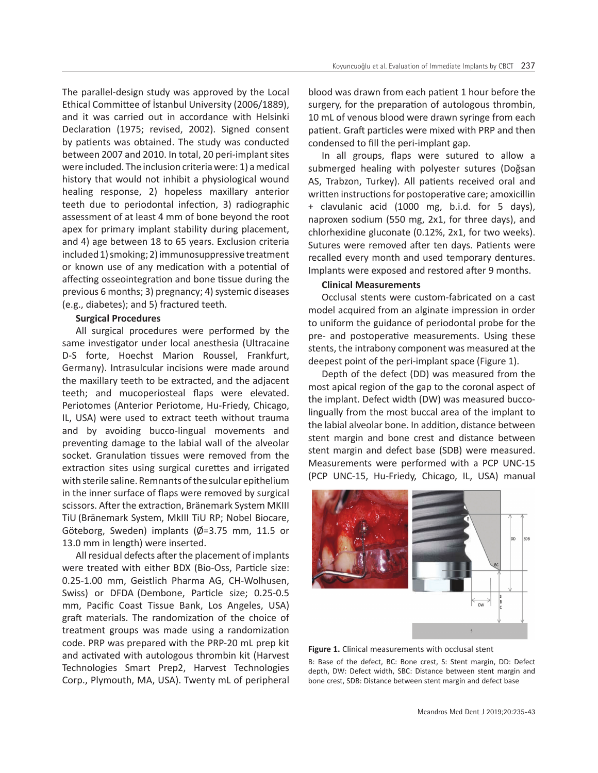The parallel-design study was approved by the Local Ethical Committee of İstanbul University (2006/1889), and it was carried out in accordance with Helsinki Declaration (1975; revised, 2002). Signed consent by patients was obtained. The study was conducted between 2007 and 2010. In total, 20 peri-implant sites were included. The inclusion criteria were: 1) a medical history that would not inhibit a physiological wound healing response, 2) hopeless maxillary anterior teeth due to periodontal infection, 3) radiographic assessment of at least 4 mm of bone beyond the root apex for primary implant stability during placement, and 4) age between 18 to 65 years. Exclusion criteria included 1) smoking; 2) immunosuppressive treatment or known use of any medication with a potential of affecting osseointegration and bone tissue during the previous 6 months; 3) pregnancy; 4) systemic diseases (e.g., diabetes); and 5) fractured teeth.

# **Surgical Procedures**

All surgical procedures were performed by the same investigator under local anesthesia (Ultracaine D-S forte, Hoechst Marion Roussel, Frankfurt, Germany). Intrasulcular incisions were made around the maxillary teeth to be extracted, and the adjacent teeth; and mucoperiosteal flaps were elevated. Periotomes (Anterior Periotome, Hu-Friedy, Chicago, IL, USA) were used to extract teeth without trauma and by avoiding bucco-lingual movements and preventing damage to the labial wall of the alveolar socket. Granulation tissues were removed from the extraction sites using surgical curettes and irrigated with sterile saline. Remnants of the sulcular epithelium in the inner surface of flaps were removed by surgical scissors. After the extraction, Bränemark System MKIII TiU (Bränemark System, MkIII TiU RP; Nobel Biocare, Göteborg, Sweden) implants (Ø=3.75 mm, 11.5 or 13.0 mm in length) were inserted.

All residual defects after the placement of implants were treated with either BDX (Bio-Oss, Particle size: 0.25-1.00 mm, Geistlich Pharma AG, CH-Wolhusen, Swiss) or DFDA (Dembone, Particle size; 0.25-0.5 mm, Pacific Coast Tissue Bank, Los Angeles, USA) graft materials. The randomization of the choice of treatment groups was made using a randomization code. PRP was prepared with the PRP-20 mL prep kit and activated with autologous thrombin kit (Harvest Technologies Smart Prep2, Harvest Technologies Corp., Plymouth, MA, USA). Twenty mL of peripheral

blood was drawn from each patient 1 hour before the surgery, for the preparation of autologous thrombin, 10 mL of venous blood were drawn syringe from each patient. Graft particles were mixed with PRP and then condensed to fill the peri-implant gap.

In all groups, flaps were sutured to allow a submerged healing with polyester sutures (Doğsan AS, Trabzon, Turkey). All patients received oral and written instructions for postoperative care; amoxicillin + clavulanic acid (1000 mg, b.i.d. for 5 days), naproxen sodium (550 mg, 2x1, for three days), and chlorhexidine gluconate (0.12%, 2x1, for two weeks). Sutures were removed after ten days. Patients were recalled every month and used temporary dentures. Implants were exposed and restored after 9 months.

## **Clinical Measurements**

Occlusal stents were custom-fabricated on a cast model acquired from an alginate impression in order to uniform the guidance of periodontal probe for the pre- and postoperative measurements. Using these stents, the intrabony component was measured at the deepest point of the peri-implant space (Figure 1).

Depth of the defect (DD) was measured from the most apical region of the gap to the coronal aspect of the implant. Defect width (DW) was measured buccolingually from the most buccal area of the implant to the labial alveolar bone. In addition, distance between stent margin and bone crest and distance between stent margin and defect base (SDB) were measured. Measurements were performed with a PCP UNC-15 (PCP UNC-15, Hu-Friedy, Chicago, IL, USA) manual



Figure 1. Clinical measurements with occlusal stent B: Base of the defect, BC: Bone crest, S: Stent margin, DD: Defect depth, DW: Defect width, SBC: Distance between stent margin and bone crest, SDB: Distance between stent margin and defect base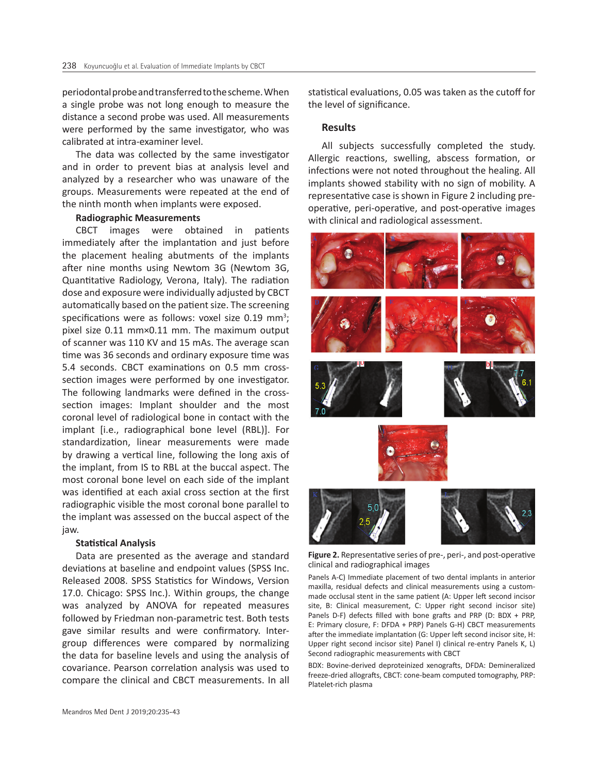periodontal probe and transferred to the scheme. When a single probe was not long enough to measure the distance a second probe was used. All measurements were performed by the same investigator, who was calibrated at intra-examiner level.

The data was collected by the same investigator and in order to prevent bias at analysis level and analyzed by a researcher who was unaware of the groups. Measurements were repeated at the end of the ninth month when implants were exposed.

#### **Radiographic Measurements**

CBCT images were obtained in patients immediately after the implantation and just before the placement healing abutments of the implants after nine months using Newtom 3G (Newtom 3G, Quantitative Radiology, Verona, Italy). The radiation dose and exposure were individually adjusted by CBCT automatically based on the patient size. The screening specifications were as follows: voxel size  $0.19$  mm<sup>3</sup>; pixel size 0.11 mm×0.11 mm. The maximum output of scanner was 110 KV and 15 mAs. The average scan time was 36 seconds and ordinary exposure time was 5.4 seconds. CBCT examinations on 0.5 mm crosssection images were performed by one investigator. The following landmarks were defined in the crosssection images: Implant shoulder and the most coronal level of radiological bone in contact with the implant [i.e., radiographical bone level (RBL)]. For standardization, linear measurements were made by drawing a vertical line, following the long axis of the implant, from IS to RBL at the buccal aspect. The most coronal bone level on each side of the implant was identified at each axial cross section at the first radiographic visible the most coronal bone parallel to the implant was assessed on the buccal aspect of the jaw.

#### **Statistical Analysis**

Data are presented as the average and standard deviations at baseline and endpoint values (SPSS Inc. Released 2008. SPSS Statistics for Windows, Version 17.0. Chicago: SPSS Inc.). Within groups, the change was analyzed by ANOVA for repeated measures followed by Friedman non-parametric test. Both tests gave similar results and were confirmatory. Intergroup differences were compared by normalizing the data for baseline levels and using the analysis of covariance. Pearson correlation analysis was used to compare the clinical and CBCT measurements. In all

statistical evaluations, 0.05 was taken as the cutoff for the level of significance.

## **Results**

All subjects successfully completed the study. Allergic reactions, swelling, abscess formation, or infections were not noted throughout the healing. All implants showed stability with no sign of mobility. A representative case is shown in Figure 2 including preoperative, peri-operative, and post-operative images with clinical and radiological assessment.



**Figure 2.** Representative series of pre-, peri-, and post-operative clinical and radiographical images

Panels A-C) Immediate placement of two dental implants in anterior maxilla, residual defects and clinical measurements using a custommade occlusal stent in the same patient (A: Upper left second incisor site, B: Clinical measurement, C: Upper right second incisor site) Panels D-F) defects filled with bone grafts and PRP (D: BDX + PRP, E: Primary closure, F: DFDA + PRP) Panels G-H) CBCT measurements after the immediate implantation (G: Upper left second incisor site, H: Upper right second incisor site) Panel I) clinical re-entry Panels K, L) Second radiographic measurements with CBCT

BDX: Bovine-derived deproteinized xenografts, DFDA: Demineralized freeze-dried allografts, CBCT: cone-beam computed tomography, PRP: Platelet-rich plasma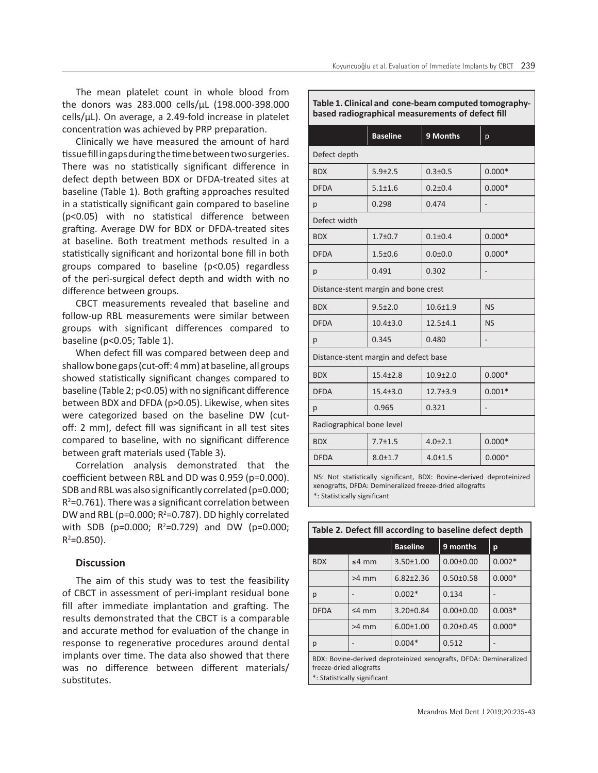The mean platelet count in whole blood from the donors was 283.000 cells/μL (198.000-398.000 cells/μL). On average, a 2.49-fold increase in platelet concentration was achieved by PRP preparation.

Clinically we have measured the amount of hard tissue fill in gaps during the time between two surgeries. There was no statistically significant difference in defect depth between BDX or DFDA-treated sites at baseline (Table 1). Both grafting approaches resulted in a statistically significant gain compared to baseline (p<0.05) with no statistical difference between grafting. Average DW for BDX or DFDA-treated sites at baseline. Both treatment methods resulted in a statistically significant and horizontal bone fill in both groups compared to baseline (p<0.05) regardless of the peri-surgical defect depth and width with no difference between groups.

CBCT measurements revealed that baseline and follow-up RBL measurements were similar between groups with significant differences compared to baseline (p<0.05; Table 1).

When defect fill was compared between deep and shallow bone gaps (cut-off: 4 mm) at baseline, all groups showed statistically significant changes compared to baseline (Table 2; p<0.05) with no significant difference between BDX and DFDA (p>0.05). Likewise, when sites were categorized based on the baseline DW (cutoff: 2 mm), defect fill was significant in all test sites compared to baseline, with no significant difference between graft materials used (Table 3).

Correlation analysis demonstrated that the coefficient between RBL and DD was 0.959 (p=0.000). SDB and RBL was also significantly correlated (p=0.000;  $R^2$ =0.761). There was a significant correlation between DW and RBL ( $p=0.000; R^2=0.787$ ). DD highly correlated with SDB (p=0.000;  $R^2$ =0.729) and DW (p=0.000;  $R^2 = 0.850$ ).

# **Discussion**

The aim of this study was to test the feasibility of CBCT in assessment of peri-implant residual bone fill after immediate implantation and grafting. The results demonstrated that the CBCT is a comparable and accurate method for evaluation of the change in response to regenerative procedures around dental implants over time. The data also showed that there was no difference between different materials/ substitutes.

**Table 1. Clinical and cone-beam computed tomographybased radiographical measurements of defect fill** 

|                                                                                                                                                                 | <b>Baseline</b> | 9 Months       | p         |  |  |
|-----------------------------------------------------------------------------------------------------------------------------------------------------------------|-----------------|----------------|-----------|--|--|
| Defect depth                                                                                                                                                    |                 |                |           |  |  |
| <b>BDX</b>                                                                                                                                                      | $5.9 \pm 2.5$   | $0.3 + 0.5$    | $0.000*$  |  |  |
| <b>DFDA</b>                                                                                                                                                     | $5.1 + 1.6$     | $0.2 + 0.4$    | $0.000*$  |  |  |
| р                                                                                                                                                               | 0.298           | 0.474          |           |  |  |
| Defect width                                                                                                                                                    |                 |                |           |  |  |
| <b>BDX</b>                                                                                                                                                      | $1.7 + 0.7$     | $0.1 + 0.4$    | $0.000*$  |  |  |
| <b>DFDA</b>                                                                                                                                                     | $1.5 + 0.6$     | $0.0 + 0.0$    | $0.000*$  |  |  |
| р                                                                                                                                                               | 0.491           | 0.302          |           |  |  |
| Distance-stent margin and bone crest                                                                                                                            |                 |                |           |  |  |
| <b>BDX</b>                                                                                                                                                      | $9.5 \pm 2.0$   | $10.6 + 1.9$   | <b>NS</b> |  |  |
| <b>DFDA</b>                                                                                                                                                     | $10.4 \pm 3.0$  | $12.5 + 4.1$   | <b>NS</b> |  |  |
| р                                                                                                                                                               | 0.345           | 0.480          |           |  |  |
| Distance-stent margin and defect base                                                                                                                           |                 |                |           |  |  |
| <b>BDX</b>                                                                                                                                                      | $15.4 + 2.8$    | $10.9{\pm}2.0$ | $0.000*$  |  |  |
| <b>DFDA</b>                                                                                                                                                     | $15.4 \pm 3.0$  | $12.7 \pm 3.9$ | $0.001*$  |  |  |
| p                                                                                                                                                               | 0.965           | 0.321          |           |  |  |
| Radiographical bone level                                                                                                                                       |                 |                |           |  |  |
| <b>BDX</b>                                                                                                                                                      | $7.7 \pm 1.5$   | $4.0 \pm 2.1$  | $0.000*$  |  |  |
| <b>DFDA</b>                                                                                                                                                     | $8.0 \pm 1.7$   | $4.0 \pm 1.5$  | $0.000*$  |  |  |
| NS: Not statistically significant, BDX: Bovine-derived deproteinized<br>xenografts, DFDA: Demineralized freeze-dried allografts<br>*: Statistically significant |                 |                |           |  |  |

| Table 2. Defect fill according to baseline defect depth                                                                      |             |                 |                 |          |  |
|------------------------------------------------------------------------------------------------------------------------------|-------------|-----------------|-----------------|----------|--|
|                                                                                                                              |             | <b>Baseline</b> | 9 months        | p        |  |
| <b>BDX</b>                                                                                                                   | $\leq 4$ mm | $3.50 \pm 1.00$ | $0.00 \pm 0.00$ | $0.002*$ |  |
|                                                                                                                              | >4 mm       | $6.82 \pm 2.36$ | $0.50 + 0.58$   | $0.000*$ |  |
| р                                                                                                                            |             | $0.002*$        | 0.134           |          |  |
| <b>DFDA</b>                                                                                                                  | $<$ 4 mm    | $3.20 \pm 0.84$ | $0.00 + 0.00$   | $0.003*$ |  |
|                                                                                                                              | >4 mm       | $6.00 \pm 1.00$ | $0.20 \pm 0.45$ | $0.000*$ |  |
| р                                                                                                                            |             | $0.004*$        | 0.512           |          |  |
| BDX: Bovine-derived deproteinized xenografts, DFDA: Demineralized<br>freeze-dried allografts<br>*: Statistically significant |             |                 |                 |          |  |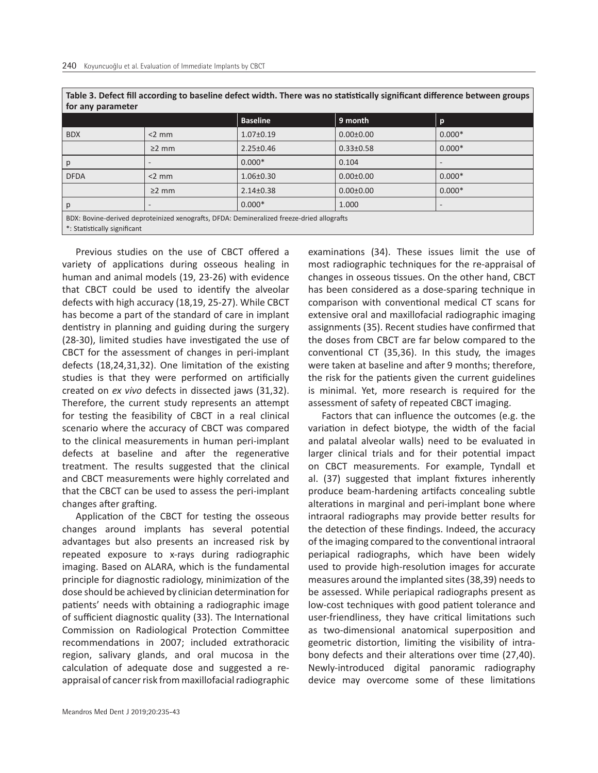| Table 3. Defect fill according to baseline defect width. There was no statistically significant difference between groups |  |  |
|---------------------------------------------------------------------------------------------------------------------------|--|--|
| for any parameter                                                                                                         |  |  |
|                                                                                                                           |  |  |

|                                                                                           |             | <b>Baseline</b> | 9 month         | $\mathbf{p}$ |  |
|-------------------------------------------------------------------------------------------|-------------|-----------------|-----------------|--------------|--|
| <b>BDX</b>                                                                                | $<$ 2 mm    | $1.07 \pm 0.19$ | $0.00 \pm 0.00$ | $0.000*$     |  |
|                                                                                           | $\geq$ 2 mm | $2.25 \pm 0.46$ | $0.33 \pm 0.58$ | $0.000*$     |  |
| p                                                                                         |             | $0.000*$        | 0.104           |              |  |
| <b>DFDA</b>                                                                               | $<$ 2 mm    | $1.06 \pm 0.30$ | $0.00 \pm 0.00$ | $0.000*$     |  |
|                                                                                           | $\geq$ 2 mm | $2.14 \pm 0.38$ | $0.00 \pm 0.00$ | $0.000*$     |  |
| p                                                                                         |             | $0.000*$        | 1.000           |              |  |
| BDX: Bovine-derived deproteinized xenografts, DFDA: Demineralized freeze-dried allografts |             |                 |                 |              |  |
| *: Statistically significant                                                              |             |                 |                 |              |  |

Previous studies on the use of CBCT offered a variety of applications during osseous healing in human and animal models (19, 23-26) with evidence that CBCT could be used to identify the alveolar defects with high accuracy (18,19, 25-27). While CBCT has become a part of the standard of care in implant dentistry in planning and guiding during the surgery (28-30), limited studies have investigated the use of CBCT for the assessment of changes in peri-implant defects (18,24,31,32). One limitation of the existing studies is that they were performed on artificially created on *ex vivo* defects in dissected jaws (31,32). Therefore, the current study represents an attempt for testing the feasibility of CBCT in a real clinical scenario where the accuracy of CBCT was compared to the clinical measurements in human peri-implant defects at baseline and after the regenerative treatment. The results suggested that the clinical and CBCT measurements were highly correlated and that the CBCT can be used to assess the peri-implant changes after grafting.

Application of the CBCT for testing the osseous changes around implants has several potential advantages but also presents an increased risk by repeated exposure to x-rays during radiographic imaging. Based on ALARA, which is the fundamental principle for diagnostic radiology, minimization of the dose should be achieved by clinician determination for patients' needs with obtaining a radiographic image of sufficient diagnostic quality (33). The International Commission on Radiological Protection Committee recommendations in 2007; included extrathoracic region, salivary glands, and oral mucosa in the calculation of adequate dose and suggested a reappraisal of cancer risk from maxillofacial radiographic

examinations (34). These issues limit the use of most radiographic techniques for the re-appraisal of changes in osseous tissues. On the other hand, CBCT has been considered as a dose-sparing technique in comparison with conventional medical CT scans for extensive oral and maxillofacial radiographic imaging assignments (35). Recent studies have confirmed that the doses from CBCT are far below compared to the conventional CT (35,36). In this study, the images were taken at baseline and after 9 months; therefore, the risk for the patients given the current guidelines is minimal. Yet, more research is required for the assessment of safety of repeated CBCT imaging.

Factors that can influence the outcomes (e.g. the variation in defect biotype, the width of the facial and palatal alveolar walls) need to be evaluated in larger clinical trials and for their potential impact on CBCT measurements. For example, Tyndall et al. (37) suggested that implant fixtures inherently produce beam-hardening artifacts concealing subtle alterations in marginal and peri-implant bone where intraoral radiographs may provide better results for the detection of these findings. Indeed, the accuracy of the imaging compared to the conventional intraoral periapical radiographs, which have been widely used to provide high-resolution images for accurate measures around the implanted sites (38,39) needs to be assessed. While periapical radiographs present as low-cost techniques with good patient tolerance and user-friendliness, they have critical limitations such as two-dimensional anatomical superposition and geometric distortion, limiting the visibility of intrabony defects and their alterations over time (27,40). Newly-introduced digital panoramic radiography device may overcome some of these limitations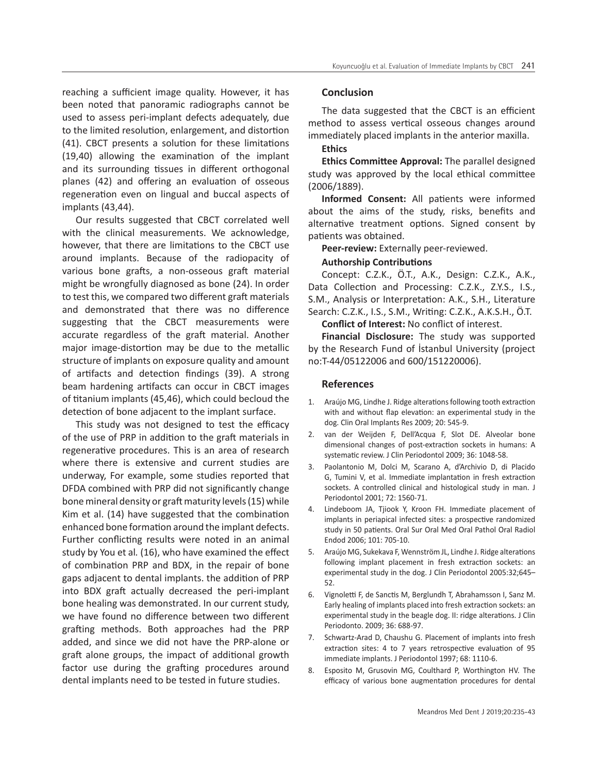reaching a sufficient image quality. However, it has been noted that panoramic radiographs cannot be used to assess peri-implant defects adequately, due to the limited resolution, enlargement, and distortion (41). CBCT presents a solution for these limitations (19,40) allowing the examination of the implant and its surrounding tissues in different orthogonal planes (42) and offering an evaluation of osseous regeneration even on lingual and buccal aspects of implants (43,44).

Our results suggested that CBCT correlated well with the clinical measurements. We acknowledge, however, that there are limitations to the CBCT use around implants. Because of the radiopacity of various bone grafts, a non-osseous graft material might be wrongfully diagnosed as bone (24). In order to test this, we compared two different graft materials and demonstrated that there was no difference suggesting that the CBCT measurements were accurate regardless of the graft material. Another major image-distortion may be due to the metallic structure of implants on exposure quality and amount of artifacts and detection findings (39). A strong beam hardening artifacts can occur in CBCT images of titanium implants (45,46), which could becloud the detection of bone adjacent to the implant surface.

This study was not designed to test the efficacy of the use of PRP in addition to the graft materials in regenerative procedures. This is an area of research where there is extensive and current studies are underway, For example, some studies reported that DFDA combined with PRP did not significantly change bone mineral density or graft maturity levels (15) while Kim et al. (14) have suggested that the combination enhanced bone formation around the implant defects. Further conflicting results were noted in an animal study by You et al*.* (16), who have examined the effect of combination PRP and BDX, in the repair of bone gaps adjacent to dental implants. the addition of PRP into BDX graft actually decreased the peri-implant bone healing was demonstrated. In our current study, we have found no difference between two different grafting methods. Both approaches had the PRP added, and since we did not have the PRP-alone or graft alone groups, the impact of additional growth factor use during the grafting procedures around dental implants need to be tested in future studies.

## **Conclusion**

The data suggested that the CBCT is an efficient method to assess vertical osseous changes around immediately placed implants in the anterior maxilla.

#### **Ethics**

**Ethics Committee Approval:** The parallel designed study was approved by the local ethical committee (2006/1889).

**Informed Consent:** All patients were informed about the aims of the study, risks, benefits and alternative treatment options. Signed consent by patients was obtained.

**Peer-review:** Externally peer-reviewed.

# **Authorship Contributions**

Concept: C.Z.K., Ö.T., A.K., Design: C.Z.K., A.K., Data Collection and Processing: C.Z.K., Z.Y.S., I.S., S.M., Analysis or Interpretation: A.K., S.H., Literature Search: C.Z.K., I.S., S.M., Writing: C.Z.K., A.K.S.H., Ö.T.

**Conflict of Interest:** No conflict of interest.

**Financial Disclosure:** The study was supported by the Research Fund of İstanbul University (project no:T-44/05122006 and 600/151220006).

#### **References**

- 1. Araújo MG, Lindhe J. Ridge alterations following tooth extraction with and without flap elevation: an experimental study in the dog. Clin Oral Implants Res 2009; 20: 545-9.
- 2. van der Weijden F, Dell'Acqua F, Slot DE. Alveolar bone dimensional changes of post-extraction sockets in humans: A systematic review. J Clin Periodontol 2009; 36: 1048-58.
- 3. Paolantonio M, Dolci M, Scarano A, d'Archivio D, di Placido G, Tumini V, et al. Immediate implantation in fresh extraction sockets. A controlled clinical and histological study in man. J Periodontol 2001; 72: 1560-71.
- 4. Lindeboom JA, Tjiook Y, Kroon FH. Immediate placement of implants in periapical infected sites: a prospective randomized study in 50 patients. Oral Sur Oral Med Oral Pathol Oral Radiol Endod 2006; 101: 705-10.
- 5. Araújo MG, Sukekava F, Wennström JL, Lindhe J. Ridge alterations following implant placement in fresh extraction sockets: an experimental study in the dog. J Clin Periodontol 2005:32;645– 52.
- 6. Vignoletti F, de Sanctis M, Berglundh T, Abrahamsson I, Sanz M. Early healing of implants placed into fresh extraction sockets: an experimental study in the beagle dog. II: ridge alterations. J Clin Periodonto. 2009; 36: 688-97.
- 7. Schwartz-Arad D, Chaushu G. Placement of implants into fresh extraction sites: 4 to 7 years retrospective evaluation of 95 immediate implants. J Periodontol 1997; 68: 1110-6.
- 8. Esposito M, Grusovin MG, Coulthard P, Worthington HV. The efficacy of various bone augmentation procedures for dental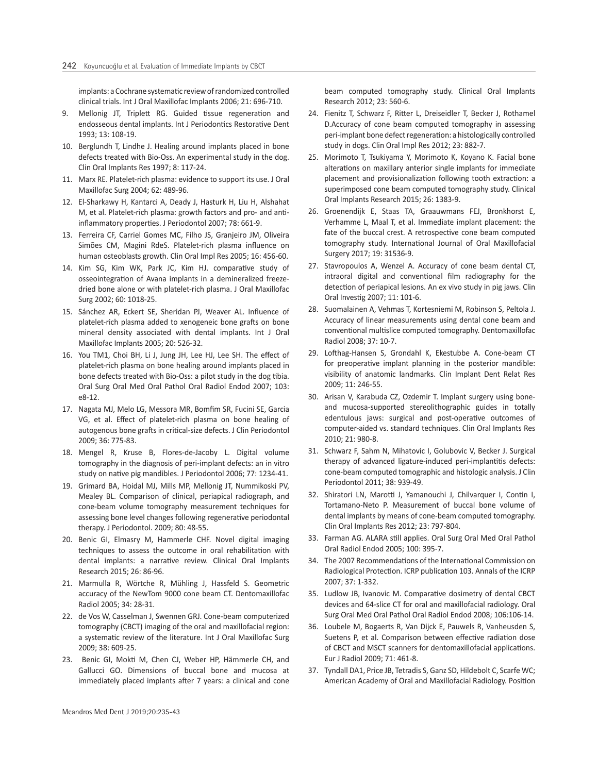implants: a Cochrane systematic review of randomized controlled clinical trials. Int J Oral Maxillofac Implants 2006; 21: 696-710.

- 9. Mellonig JT, Triplett RG. Guided tissue regeneration and endosseous dental implants. Int J Periodontics Restorative Dent 1993; 13: 108-19.
- 10. Berglundh T, Lindhe J. Healing around implants placed in bone defects treated with Bio-Oss. An experimental study in the dog. Clin Oral Implants Res 1997; 8: 117-24.
- 11. Marx RE. Platelet-rich plasma: evidence to support its use. J Oral Maxillofac Surg 2004; 62: 489-96.
- 12. El-Sharkawy H, Kantarci A, Deady J, Hasturk H, Liu H, Alshahat M, et al. Platelet-rich plasma: growth factors and pro- and antiinflammatory properties. J Periodontol 2007; 78: 661-9.
- 13. Ferreira CF, Carriel Gomes MC, Filho JS, Granjeiro JM, Oliveira Simões CM, Magini RdeS. Platelet-rich plasma influence on human osteoblasts growth. Clin Oral Impl Res 2005; 16: 456-60.
- 14. Kim SG, Kim WK, Park JC, Kim HJ. comparative study of osseointegration of Avana implants in a demineralized freezedried bone alone or with platelet-rich plasma. J Oral Maxillofac Surg 2002; 60: 1018-25.
- 15. Sánchez AR, Eckert SE, Sheridan PJ, Weaver AL. Influence of platelet-rich plasma added to xenogeneic bone grafts on bone mineral density associated with dental implants. Int J Oral Maxillofac Implants 2005; 20: 526-32.
- 16. You TM1, Choi BH, Li J, Jung JH, Lee HJ, Lee SH. The effect of platelet-rich plasma on bone healing around implants placed in bone defects treated with Bio-Oss: a pilot study in the dog tibia. Oral Surg Oral Med Oral Pathol Oral Radiol Endod 2007; 103: e8-12.
- 17. Nagata MJ, Melo LG, Messora MR, Bomfim SR, Fucini SE, Garcia VG, et al. Effect of platelet-rich plasma on bone healing of autogenous bone grafts in critical-size defects. J Clin Periodontol 2009; 36: 775-83.
- 18. Mengel R, Kruse B, Flores-de-Jacoby L. Digital volume tomography in the diagnosis of peri-implant defects: an in vitro study on native pig mandibles. J Periodontol 2006; 77: 1234-41.
- 19. Grimard BA, Hoidal MJ, Mills MP, Mellonig JT, Nummikoski PV, Mealey BL. Comparison of clinical, periapical radiograph, and cone-beam volume tomography measurement techniques for assessing bone level changes following regenerative periodontal therapy. J Periodontol. 2009; 80: 48-55.
- 20. Benic GI, Elmasry M, Hammerle CHF. Novel digital imaging techniques to assess the outcome in oral rehabilitation with dental implants: a narrative review. Clinical Oral Implants Research 2015; 26: 86-96.
- 21. Marmulla R, Wörtche R, Mühling J, Hassfeld S. Geometric accuracy of the NewTom 9000 cone beam CT. Dentomaxillofac Radiol 2005; 34: 28-31.
- 22. de Vos W, Casselman J, Swennen GRJ. Cone-beam computerized tomography (CBCT) imaging of the oral and maxillofacial region: a systematic review of the literature. Int J Oral Maxillofac Surg 2009; 38: 609-25.
- 23. Benic GI, Mokti M, Chen CJ, Weber HP, Hämmerle CH, and Gallucci GO. Dimensions of buccal bone and mucosa at immediately placed implants after 7 years: a clinical and cone

beam computed tomography study. Clinical Oral Implants Research 2012; 23: 560-6.

- 24. Fienitz T, Schwarz F, Ritter L, Dreiseidler T, Becker J, Rothamel D.Accuracy of cone beam computed tomography in assessing peri-implant bone defect regeneration: a histologically controlled study in dogs. Clin Oral Impl Res 2012; 23: 882-7.
- 25. Morimoto T, Tsukiyama Y, Morimoto K, Koyano K. Facial bone alterations on maxillary anterior single implants for immediate placement and provisionalization following tooth extraction: a superimposed cone beam computed tomography study. Clinical Oral Implants Research 2015; 26: 1383-9.
- 26. Groenendijk E, Staas TA, Graauwmans FEJ, Bronkhorst E, Verhamme L, Maal T, et al. Immediate implant placement: the fate of the buccal crest. A retrospective cone beam computed tomography study. International Journal of Oral Maxillofacial Surgery 2017; 19: 31536-9.
- 27. Stavropoulos A, Wenzel A. Accuracy of cone beam dental CT, intraoral digital and conventional film radiography for the detection of periapical lesions. An ex vivo study in pig jaws. Clin Oral Investig 2007; 11: 101-6.
- 28. Suomalainen A, Vehmas T, Kortesniemi M, Robinson S, Peltola J. Accuracy of linear measurements using dental cone beam and conventional multislice computed tomography. Dentomaxillofac Radiol 2008; 37: 10-7.
- 29. Lofthag-Hansen S, Grondahl K, Ekestubbe A. Cone-beam CT for preoperative implant planning in the posterior mandible: visibility of anatomic landmarks. Clin Implant Dent Relat Res 2009; 11: 246-55.
- 30. Arisan V, Karabuda CZ, Ozdemir T. Implant surgery using boneand mucosa-supported stereolithographic guides in totally edentulous jaws: surgical and post-operative outcomes of computer-aided vs. standard techniques. Clin Oral Implants Res 2010; 21: 980-8.
- 31. Schwarz F, Sahm N, Mihatovic I, Golubovic V, Becker J. Surgical therapy of advanced ligature-induced peri-implantitis defects: cone-beam computed tomographic and histologic analysis. J Clin Periodontol 2011; 38: 939-49.
- 32. Shiratori LN, Marotti J, Yamanouchi J, Chilvarquer I, Contin I, Tortamano-Neto P. Measurement of buccal bone volume of dental implants by means of cone-beam computed tomography. Clin Oral Implants Res 2012; 23: 797-804.
- 33. Farman AG. ALARA still applies. Oral Surg Oral Med Oral Pathol Oral Radiol Endod 2005; 100: 395-7.
- 34. The 2007 Recommendations of the International Commission on Radiological Protection. ICRP publication 103. Annals of the ICRP 2007; 37: 1-332.
- 35. Ludlow JB, Ivanovic M. Comparative dosimetry of dental CBCT devices and 64-slice CT for oral and maxillofacial radiology. Oral Surg Oral Med Oral Pathol Oral Radiol Endod 2008; 106:106-14.
- 36. Loubele M, Bogaerts R, Van Dijck E, Pauwels R, Vanheusden S, Suetens P, et al. Comparison between effective radiation dose of CBCT and MSCT scanners for dentomaxillofacial applications. Eur J Radiol 2009; 71: 461-8.
- 37. Tyndall DA1, Price JB, Tetradis S, Ganz SD, Hildebolt C, Scarfe WC; American Academy of Oral and Maxillofacial Radiology. Position